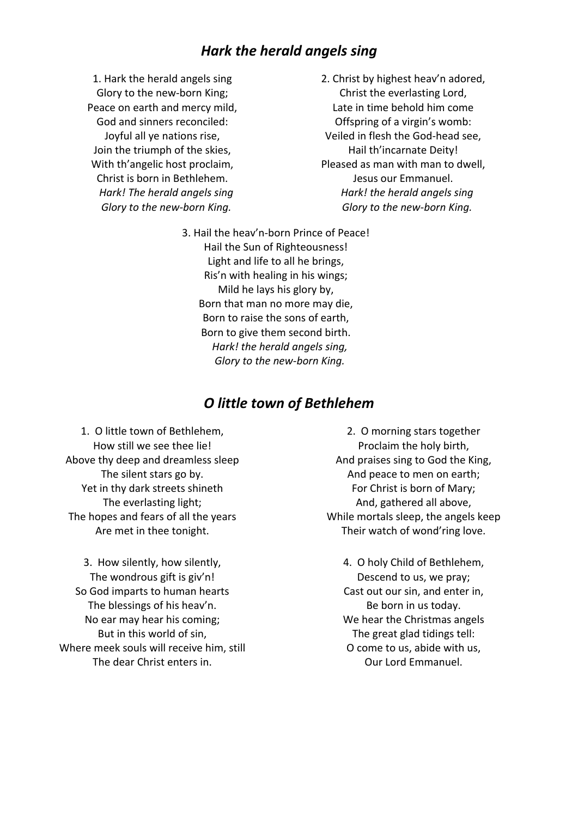# *Hark the herald angels sing*

1. Hark the herald angels sing Glory to the new-born King; Peace on earth and mercy mild, God and sinners reconciled: Joyful all ye nations rise, Join the triumph of the skies, With th'angelic host proclaim, Christ is born in Bethlehem.  *Hark! The herald angels sing Glory to the new-born King.*

- 2. Christ by highest heav'n adored, Christ the everlasting Lord, Late in time behold him come Offspring of a virgin's womb: Veiled in flesh the God-head see, Hail th'incarnate Deity! Pleased as man with man to dwell, Jesus our Emmanuel.  *Hark! the herald angels sing Glory to the new-born King.*
- 3. Hail the heav'n-born Prince of Peace! Hail the Sun of Righteousness! Light and life to all he brings, Ris'n with healing in his wings; Mild he lays his glory by, Born that man no more may die, Born to raise the sons of earth, Born to give them second birth. *Hark! the herald angels sing, Glory to the new-born King.*

#### *O little town of Bethlehem*

1. O little town of Bethlehem, How still we see thee lie! Above thy deep and dreamless sleep The silent stars go by. Yet in thy dark streets shineth The everlasting light; The hopes and fears of all the years Are met in thee tonight.

3. How silently, how silently, The wondrous gift is giv'n! So God imparts to human hearts The blessings of his heav'n. No ear may hear his coming; But in this world of sin, Where meek souls will receive him, still The dear Christ enters in.

2. O morning stars together Proclaim the holy birth, And praises sing to God the King, And peace to men on earth; For Christ is born of Mary; And, gathered all above, While mortals sleep, the angels keep Their watch of wond'ring love.

4. O holy Child of Bethlehem, Descend to us, we pray; Cast out our sin, and enter in, Be born in us today. We hear the Christmas angels The great glad tidings tell: O come to us, abide with us, Our Lord Emmanuel.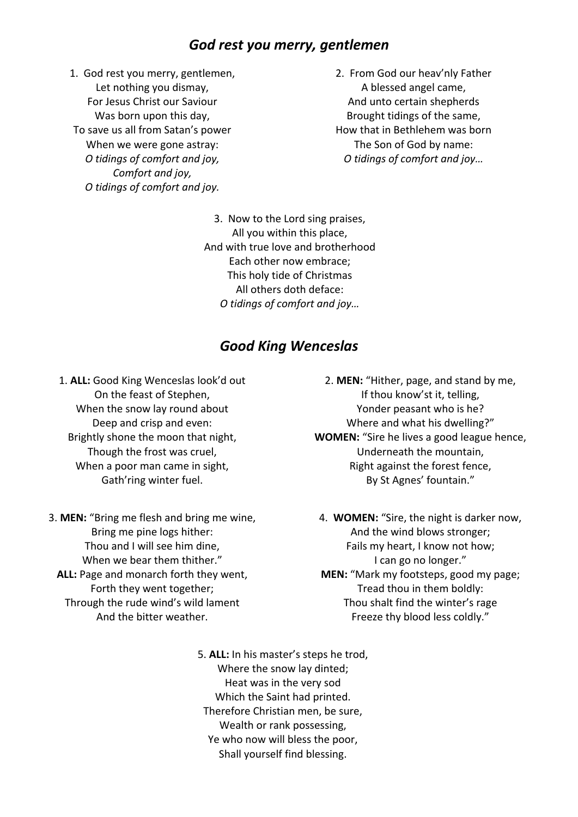## *God rest you merry, gentlemen*

1. God rest you merry, gentlemen, Let nothing you dismay, For Jesus Christ our Saviour Was born upon this day, To save us all from Satan's power When we were gone astray: *O tidings of comfort and joy, Comfort and joy, O tidings of comfort and joy.*

2. From God our heav'nly Father A blessed angel came, And unto certain shepherds Brought tidings of the same, How that in Bethlehem was born The Son of God by name: *O tidings of comfort and joy…*

3. Now to the Lord sing praises, All you within this place, And with true love and brotherhood Each other now embrace; This holy tide of Christmas All others doth deface: *O tidings of comfort and joy…*

### *Good King Wenceslas*

1. **ALL:** Good King Wenceslas look'd out On the feast of Stephen, When the snow lay round about Deep and crisp and even: Brightly shone the moon that night, Though the frost was cruel, When a poor man came in sight, Gath'ring winter fuel.

3. **MEN:** "Bring me flesh and bring me wine, Bring me pine logs hither: Thou and I will see him dine, When we bear them thither." **ALL:** Page and monarch forth they went, Forth they went together; Through the rude wind's wild lament And the bitter weather.

- 2. **MEN:** "Hither, page, and stand by me, If thou know'st it, telling, Yonder peasant who is he? Where and what his dwelling?" **WOMEN:** "Sire he lives a good league hence, Underneath the mountain, Right against the forest fence, By St Agnes' fountain."
- 4. **WOMEN:** "Sire, the night is darker now, And the wind blows stronger; Fails my heart, I know not how; I can go no longer." **MEN:** "Mark my footsteps, good my page; Tread thou in them boldly: Thou shalt find the winter's rage Freeze thy blood less coldly."
- 5. **ALL:** In his master's steps he trod, Where the snow lay dinted; Heat was in the very sod Which the Saint had printed. Therefore Christian men, be sure, Wealth or rank possessing, Ye who now will bless the poor, Shall yourself find blessing.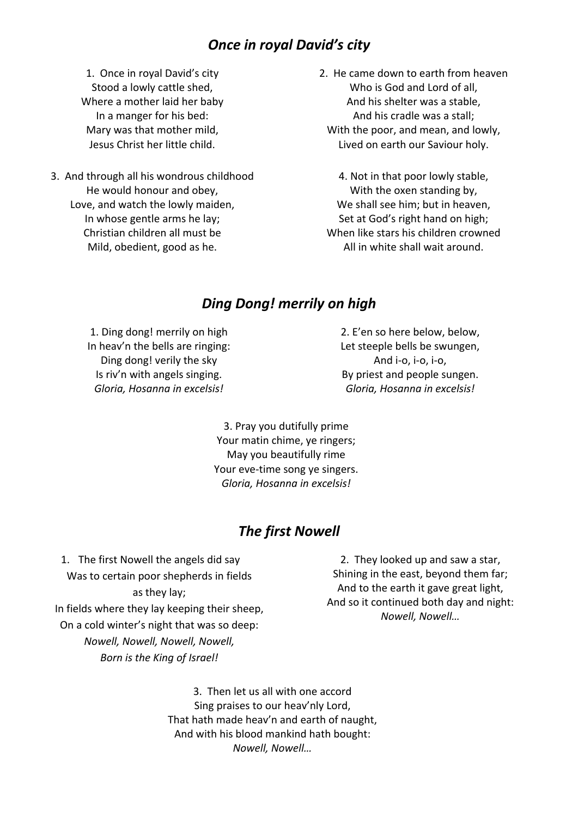## *Once in royal David's city*

1. Once in royal David's city Stood a lowly cattle shed, Where a mother laid her baby In a manger for his bed: Mary was that mother mild, Jesus Christ her little child.

- 3. And through all his wondrous childhood He would honour and obey, Love, and watch the lowly maiden, In whose gentle arms he lay; Christian children all must be Mild, obedient, good as he.
- 2. He came down to earth from heaven Who is God and Lord of all, And his shelter was a stable, And his cradle was a stall; With the poor, and mean, and lowly, Lived on earth our Saviour holy.

4. Not in that poor lowly stable, With the oxen standing by, We shall see him; but in heaven, Set at God's right hand on high; When like stars his children crowned All in white shall wait around.

## *Ding Dong! merrily on high*

1. Ding dong! merrily on high In heav'n the bells are ringing: Ding dong! verily the sky Is riv'n with angels singing. *Gloria, Hosanna in excelsis!*

2. E'en so here below, below, Let steeple bells be swungen, And i-o, i-o, i-o, By priest and people sungen. *Gloria, Hosanna in excelsis!*

3. Pray you dutifully prime Your matin chime, ye ringers; May you beautifully rime Your eve-time song ye singers. *Gloria, Hosanna in excelsis!*

### *The first Nowell*

1. The first Nowell the angels did say Was to certain poor shepherds in fields as they lay; In fields where they lay keeping their sheep, On a cold winter's night that was so deep: *Nowell, Nowell, Nowell, Nowell, Born is the King of Israel!*

2. They looked up and saw a star, Shining in the east, beyond them far; And to the earth it gave great light, And so it continued both day and night: *Nowell, Nowell…*

3. Then let us all with one accord Sing praises to our heav'nly Lord, That hath made heav'n and earth of naught, And with his blood mankind hath bought: *Nowell, Nowell…*